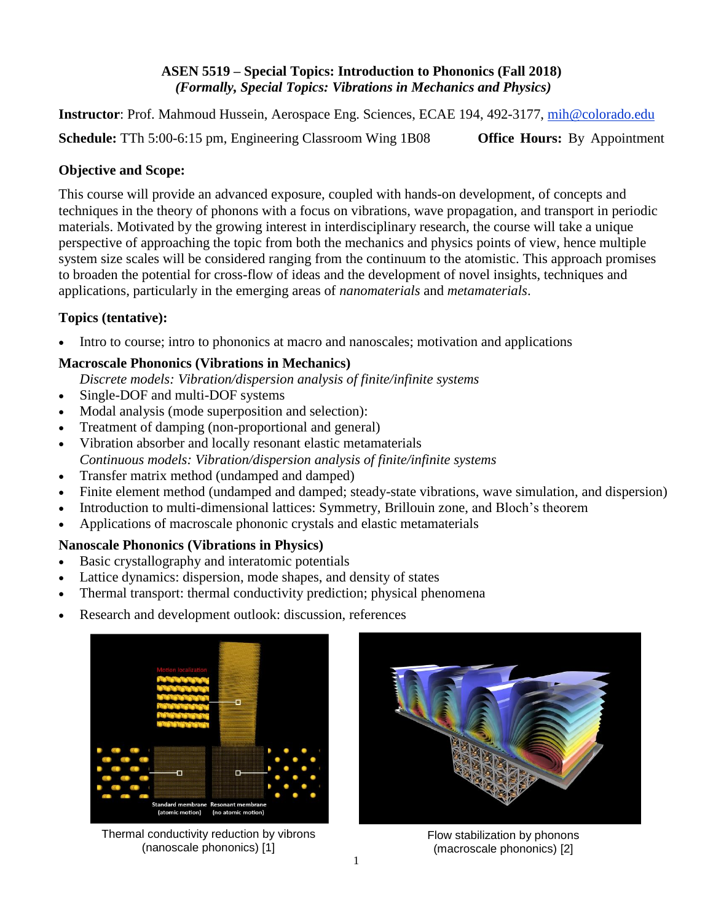### **ASEN 5519 – Special Topics: Introduction to Phononics (Fall 2018)** *(Formally, Special Topics: Vibrations in Mechanics and Physics)*

**Instructor**: Prof. Mahmoud Hussein, Aerospace Eng. Sciences, ECAE 194, 492-3177, [mih@colorado.edu](mailto:mih@colorado.edu)

**Schedule:** TTh 5:00-6:15 pm, Engineering Classroom Wing 1B08 **Office Hours:** By Appointment

### **Objective and Scope:**

This course will provide an advanced exposure, coupled with hands-on development, of concepts and techniques in the theory of phonons with a focus on vibrations, wave propagation, and transport in periodic materials. Motivated by the growing interest in interdisciplinary research, the course will take a unique perspective of approaching the topic from both the mechanics and physics points of view, hence multiple system size scales will be considered ranging from the continuum to the atomistic. This approach promises to broaden the potential for cross-flow of ideas and the development of novel insights, techniques and applications, particularly in the emerging areas of *nanomaterials* and *metamaterials*.

# **Topics (tentative):**

• Intro to course; intro to phononics at macro and nanoscales; motivation and applications

## **Macroscale Phononics (Vibrations in Mechanics)**

*Discrete models: Vibration/dispersion analysis of finite/infinite systems*

- Single-DOF and multi-DOF systems
- Modal analysis (mode superposition and selection):
- Treatment of damping (non-proportional and general)
- Vibration absorber and locally resonant elastic metamaterials *Continuous models: Vibration/dispersion analysis of finite/infinite systems*
- Transfer matrix method (undamped and damped)
- Finite element method (undamped and damped; steady-state vibrations, wave simulation, and dispersion)
- Introduction to multi-dimensional lattices: Symmetry, Brillouin zone, and Bloch's theorem
- Applications of macroscale phononic crystals and elastic metamaterials

### **Nanoscale Phononics (Vibrations in Physics)**

- Basic crystallography and interatomic potentials
- Lattice dynamics: dispersion, mode shapes, and density of states
- Thermal transport: thermal conductivity prediction; physical phenomena
- Research and development outlook: discussion, references



Thermal conductivity reduction by vibrons (nanoscale phononics) [1]



Flow stabilization by phonons (macroscale phononics) [2]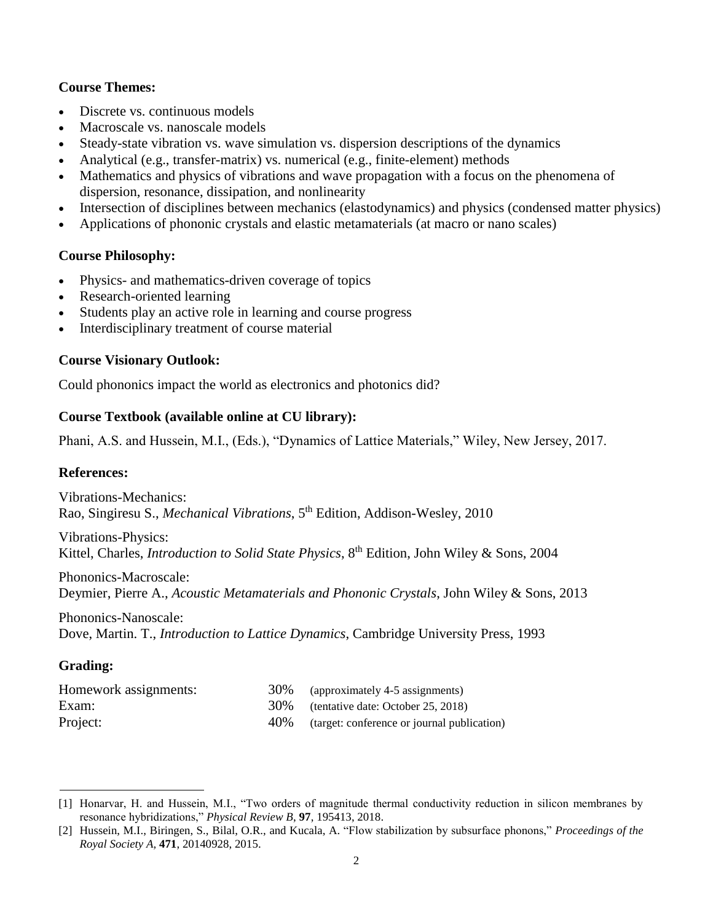### **Course Themes:**

- Discrete vs. continuous models
- Macroscale vs. nanoscale models
- Steady-state vibration vs. wave simulation vs. dispersion descriptions of the dynamics
- Analytical (e.g., transfer-matrix) vs. numerical (e.g., finite-element) methods
- Mathematics and physics of vibrations and wave propagation with a focus on the phenomena of dispersion, resonance, dissipation, and nonlinearity
- Intersection of disciplines between mechanics (elastodynamics) and physics (condensed matter physics)
- Applications of phononic crystals and elastic metamaterials (at macro or nano scales)

#### **Course Philosophy:**

- Physics- and mathematics-driven coverage of topics
- Research-oriented learning
- Students play an active role in learning and course progress
- Interdisciplinary treatment of course material

#### **Course Visionary Outlook:**

Could phononics impact the world as electronics and photonics did?

#### **Course Textbook (available online at CU library):**

Phani, A.S. and Hussein, M.I., (Eds.), "Dynamics of Lattice Materials," Wiley, New Jersey, 2017.

#### **References:**

Vibrations-Mechanics: Rao, Singiresu S., *Mechanical Vibrations*, 5 th Edition, Addison-Wesley, 2010

Vibrations-Physics: Kittel, Charles, *Introduction to Solid State Physics*, 8<sup>th</sup> Edition, John Wiley & Sons, 2004

Phononics-Macroscale: Deymier, Pierre A., *Acoustic Metamaterials and Phononic Crystals*, John Wiley & Sons, 2013

Phononics-Nanoscale: Dove, Martin. T., *Introduction to Lattice Dynamics*, Cambridge University Press, 1993

### **Grading:**

| Homework assignments: | 30\% (approximately 4-5 assignments)             |
|-----------------------|--------------------------------------------------|
| Exam:                 | 30\% (tentative date: October 25, 2018)          |
| Project:              | 40\% (target: conference or journal publication) |

<sup>[1]</sup> Honarvar, H. and Hussein, M.I., "Two orders of magnitude thermal conductivity reduction in silicon membranes by resonance hybridizations," *Physical Review B*, **97**, 195413, 2018.

<sup>[2]</sup> Hussein, M.I., Biringen, S., Bilal, O.R., and Kucala, A. "Flow stabilization by subsurface phonons," *Proceedings of the Royal Society A,* **471**, 20140928, 2015.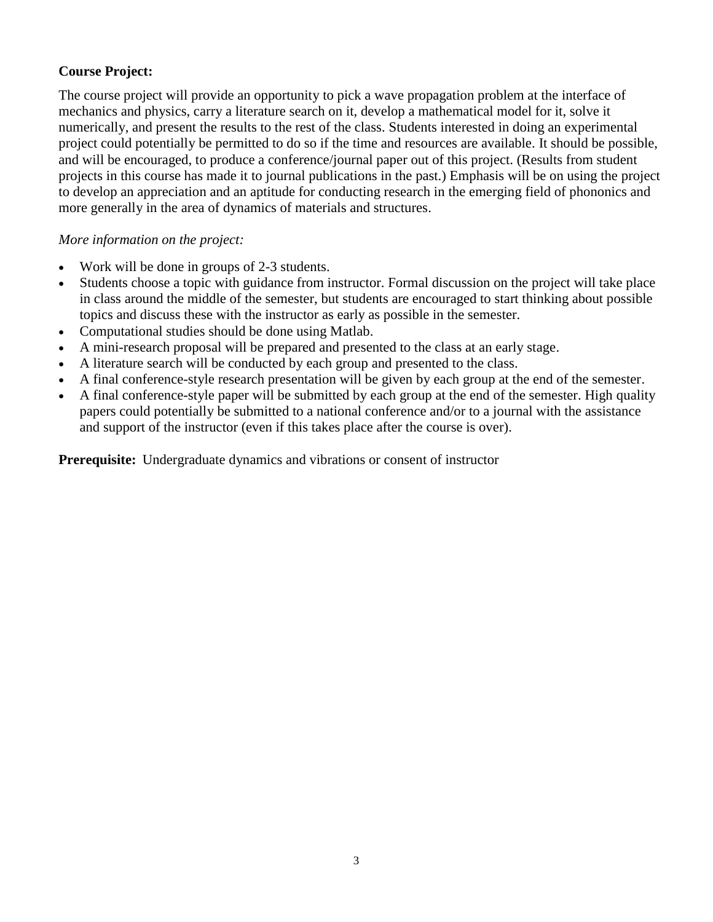## **Course Project:**

The course project will provide an opportunity to pick a wave propagation problem at the interface of mechanics and physics, carry a literature search on it, develop a mathematical model for it, solve it numerically, and present the results to the rest of the class. Students interested in doing an experimental project could potentially be permitted to do so if the time and resources are available. It should be possible, and will be encouraged, to produce a conference/journal paper out of this project. (Results from student projects in this course has made it to journal publications in the past.) Emphasis will be on using the project to develop an appreciation and an aptitude for conducting research in the emerging field of phononics and more generally in the area of dynamics of materials and structures.

### *More information on the project:*

- Work will be done in groups of 2-3 students.
- Students choose a topic with guidance from instructor. Formal discussion on the project will take place in class around the middle of the semester, but students are encouraged to start thinking about possible topics and discuss these with the instructor as early as possible in the semester.
- Computational studies should be done using Matlab.
- A mini-research proposal will be prepared and presented to the class at an early stage.
- A literature search will be conducted by each group and presented to the class.
- A final conference-style research presentation will be given by each group at the end of the semester.
- A final conference-style paper will be submitted by each group at the end of the semester. High quality papers could potentially be submitted to a national conference and/or to a journal with the assistance and support of the instructor (even if this takes place after the course is over).

**Prerequisite:** Undergraduate dynamics and vibrations or consent of instructor